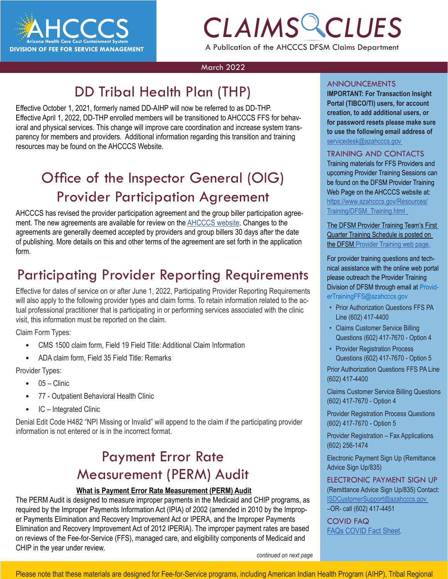

## *CLAIMS CLUES* A Publication of the AHCCCS DFSM Claims Department

#### March 2022

### DD Tribal Health Plan (THP)

Effective October 1, 2021, formerly named DD-AIHP will now be referred to as DD-THP. Effective April 1, 2022, DD-THP enrolled members will be transitioned to AHCCCS FFS for behavioral and physical services. This change will improve care coordination and increase system transparency for members and providers. Additional information regarding this transition and training resources may be found on the AHCCCS Website.

### Office of the Inspector General (OIG) Provider Participation Agreement

AHCCCS has revised the provider participation agreement and the group biller participation agreement. The new agreements are available for review on the [AHCCCS website](https://azahcccs.gov/PlansProviders/APEP/ProviderEnrollmentApplication.html). Changes to the agreements are generally deemed accepted by providers and group billers 30 days after the date of publishing. More details on this and other terms of the agreement are set forth in the application form.

### Participating Provider Reporting Requirements

Effective for dates of service on or after June 1, 2022, Participating Provider Reporting Requirements will also apply to the following provider types and claim forms. To retain information related to the actual professional practitioner that is participating in or performing services associated with the clinic visit, this information must be reported on the claim.

Claim Form Types:

- CMS 1500 claim form, Field 19 Field Title: Additional Claim Information
- ADA claim form, Field 35 Field Title: Remarks

Provider Types:

- $05 -$ Clinic
- 77 Outpatient Behavioral Health Clinic
- IC Integrated Clinic

Denial Edit Code H482 "NPI Missing or Invalid" will append to the claim if the participating provider information is not entered or is in the incorrect format.

### Payment Error Rate Measurement (PERM) Audit

#### **What is Payment Error Rate Measurement (PERM) Audit**

The PERM Audit is designed to measure improper payments in the Medicaid and CHIP programs, as required by the Improper Payments Information Act (IPIA) of 2002 (amended in 2010 by the Improper Payments Elimination and Recovery Improvement Act or IPERA, and the Improper Payments Elimination and Recovery Improvement Act of 2012 IPERIA). The improper payment rates are based on reviews of the Fee-for-Service (FFS), managed care, and eligibility components of Medicaid and CHIP in the year under review.

#### ANNOUNCEMENTS

**CLAIMS CLAIMS CLUES**<br> **CLAIMS CLUES** CLUES<br>
FLAIMS Creation, to add additional users, or<br>
FLAIS for behav-**IMPORTANT: For Transaction Insight Portal (TIBCO/TI) users, for account for password resets please make sure to use the following email address of**  [servicedesk@azahcccs.gov](mailto:servicedesk%40azahcccs.gov?subject=)

#### TRAINING AND CONTACTS

Training materials for FFS Providers and upcoming Provider Training Sessions can be found on the DFSM Provider Training Web Page on the AHCCCS website at: [https://www.azahcccs.gov/Resources/](https://www.azahcccs.gov/Resources/Training/DFSM_Training.html) [Training/DFSM\\_Training.html](https://www.azahcccs.gov/Resources/Training/DFSM_Training.html)

The DFSM Provider Training Team's [First](https://www.azahcccs.gov/Resources/Downloads/DFMSTraining/2021/ProviderTrainingScheduleFourthQuarter2021.pdf)  [Quarter Training Schedule](https://www.azahcccs.gov/Resources/Downloads/DFMSTraining/2021/ProviderTrainingScheduleFourthQuarter2021.pdf) is posted on the [DFSM Provider Training web page](https://www.azahcccs.gov/Resources/Training/DFSM_Training.html).

For provider training questions and technical assistance with the online web portal please outreach the Provider Training Division of DFSM through email at [Provid](mailto:ProviderTrainingFFS@azahcccs.gov)[erTrainingFFS@azahcccs.gov](mailto:ProviderTrainingFFS@azahcccs.gov)

- Prior Authorization Questions FFS PA Line (602) 417-4400
- Claims Customer Service Billing Questions (602) 417-7670 - Option 4
- Provider Registration Process Questions (602) 417-7670 - Option 5 Prior Authorization Questions FFS PA Line (602) 417-4400

Claims Customer Service Billing Questions (602) 417-7670 - Option 4

Provider Registration Process Questions (602) 417-7670 - Option 5

Provider Registration – Fax Applications (602) 256-1474

Electronic Payment Sign Up (Remittance Advice Sign Up/835)

#### ELECTRONIC PAYMENT SIGN UP

[\(Remittance Advice Sign Up/835\) Contact:](https://azahcccs.gov/AHCCCS/AboutUs/covid19FAQ.html)  [ISDCustomerSupport@azahcccs.gov](https://azahcccs.gov/AHCCCS/AboutUs/covid19FAQ.html)  [–OR- call \(602\) 417-4451](https://azahcccs.gov/AHCCCS/AboutUs/covid19FAQ.html) 

[COVID FAQ](https://azahcccs.gov/AHCCCS/AboutUs/covid19FAQ.html)  [FAQs COVID Fact Sheet.](https://azahcccs.gov/AHCCCS/AboutUs/covid19FAQ.html)

*continued on next page*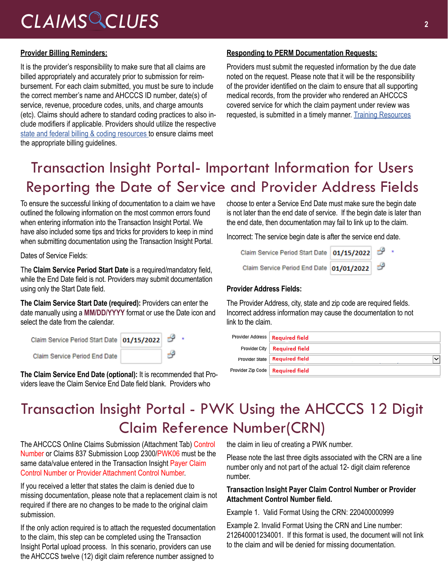## *CLAIMS CLUES* **<sup>2</sup>**

#### **Provider Billing Reminders:**

It is the provider's responsibility to make sure that all claims are billed appropriately and accurately prior to submission for reimbursement. For each claim submitted, you must be sure to include the correct member's name and AHCCCS ID number, date(s) of service, revenue, procedure codes, units, and charge amounts (etc). Claims should adhere to standard coding practices to also include modifiers if applicable. Providers should utilize the respective [state and federal billing & coding resources](https://www.azahcccs.gov/Resources/Training/DFSM_Training.html) to ensure claims meet the appropriate billing guidelines.

#### **Responding to PERM Documentation Requests:**

Providers must submit the requested information by the due date noted on the request. Please note that it will be the responsibility of the provider identified on the claim to ensure that all supporting medical records, from the provider who rendered an AHCCCS covered service for which the claim payment under review was requested, is submitted in a timely manner. [Training Resources](https://www.azahcccs.gov/PlansProviders/OtherProviderProgramsAndInitiatives/PERM.html)

### Transaction Insight Portal- Important Information for Users Reporting the Date of Service and Provider Address Fields

To ensure the successful linking of documentation to a claim we have outlined the following information on the most common errors found when entering information into the Transaction Insight Portal. We have also included some tips and tricks for providers to keep in mind when submitting documentation using the Transaction Insight Portal.

Dates of Service Fields:

The **Claim Service Period Start Date** is a required/mandatory field, while the End Date field is not. Providers may submit documentation using only the Start Date field.

**The Claim Service Start Date (required):** Providers can enter the date manually using a **MM/DD/YYYY** format or use the Date icon and select the date from the calendar.

| Claim Service Period Start Date   01/15/2022 |    |  |
|----------------------------------------------|----|--|
| Claim Service Period End Date                | ಕಿ |  |

**The Claim Service End Date (optional):** It is recommended that Providers leave the Claim Service End Date field blank. Providers who

choose to enter a Service End Date must make sure the begin date is not later than the end date of service. If the begin date is later than the end date, then documentation may fail to link up to the claim.

Incorrect: The service begin date is after the service end date.

| Claim Service Period Start Date 01/15/2022 |  |  |
|--------------------------------------------|--|--|
| Claim Service Period End Date 01/01/2022   |  |  |

#### **Provider Address Fields:**

The Provider Address, city, state and zip code are required fields. Incorrect address information may cause the documentation to not link to the claim.

| Provider Address   Required field  |             |
|------------------------------------|-------------|
| Provider City   Required field     |             |
| Provider State   Required field    | $\check{ }$ |
| Provider Zip Code   Required field |             |

### Transaction Insight Portal - PWK Using the AHCCCS 12 Digit Claim Reference Number(CRN)

The AHCCCS Online Claims Submission (Attachment Tab) Control Number or Claims 837 Submission Loop 2300/PWK06 must be the same data/value entered in the Transaction Insight Payer Claim Control Number or Provider Attachment Control Number.

If you received a letter that states the claim is denied due to missing documentation, please note that a replacement claim is not required if there are no changes to be made to the original claim submission.

If the only action required is to attach the requested documentation to the claim, this step can be completed using the Transaction Insight Portal upload process. In this scenario, providers can use the AHCCCS twelve (12) digit claim reference number assigned to

the claim in lieu of creating a PWK number.

Please note the last three digits associated with the CRN are a line number only and not part of the actual 12- digit claim reference number.

#### **Transaction Insight Payer Claim Control Number or Provider Attachment Control Number field.**

Example 1. Valid Format Using the CRN: 220400000999

Example 2. Invalid Format Using the CRN and Line number: 212640001234001. If this format is used, the document will not link to the claim and will be denied for missing documentation.